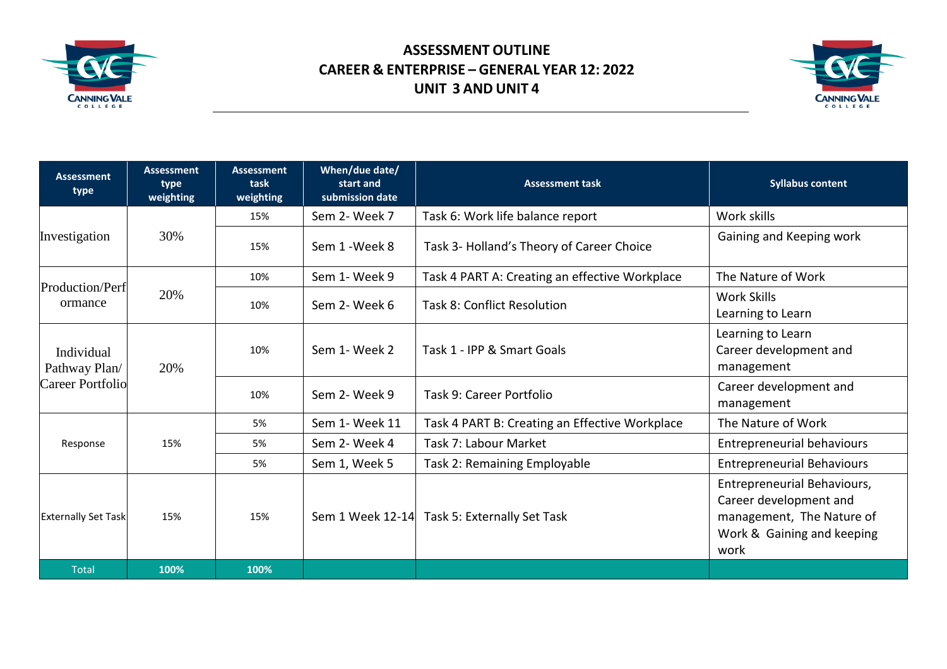

## **ASSESSMENT OUTLINE CAREER & ENTERPRISE – GENERAL YEAR 12: 2022 UNIT 3 AND UNIT 4**



| <b>Assessment</b><br>type                              | <b>Assessment</b><br>type<br>weighting | <b>Assessment</b><br>task<br>weighting | When/due date/<br>start and<br>submission date | <b>Assessment task</b>                         | <b>Syllabus content</b>                                                                                                  |
|--------------------------------------------------------|----------------------------------------|----------------------------------------|------------------------------------------------|------------------------------------------------|--------------------------------------------------------------------------------------------------------------------------|
| Investigation                                          | 30%                                    | 15%                                    | Sem 2- Week 7                                  | Task 6: Work life balance report               | Work skills                                                                                                              |
|                                                        |                                        | 15%                                    | Sem 1 - Week 8                                 | Task 3- Holland's Theory of Career Choice      | Gaining and Keeping work                                                                                                 |
| Production/Perf<br>ormance                             | 20%                                    | 10%                                    | Sem 1- Week 9                                  | Task 4 PART A: Creating an effective Workplace | The Nature of Work                                                                                                       |
|                                                        |                                        | 10%                                    | Sem 2- Week 6                                  | <b>Task 8: Conflict Resolution</b>             | Work Skills<br>Learning to Learn                                                                                         |
| Individual<br>Pathway Plan/<br><b>Career Portfolio</b> | 20%                                    | 10%                                    | Sem 1- Week 2                                  | Task 1 - IPP & Smart Goals                     | Learning to Learn<br>Career development and<br>management                                                                |
|                                                        |                                        | 10%                                    | Sem 2- Week 9                                  | Task 9: Career Portfolio                       | Career development and<br>management                                                                                     |
| Response                                               | 15%                                    | 5%                                     | Sem 1- Week 11                                 | Task 4 PART B: Creating an Effective Workplace | The Nature of Work                                                                                                       |
|                                                        |                                        | 5%                                     | Sem 2- Week 4                                  | Task 7: Labour Market                          | <b>Entrepreneurial behaviours</b>                                                                                        |
|                                                        |                                        | 5%                                     | Sem 1, Week 5                                  | Task 2: Remaining Employable                   | <b>Entrepreneurial Behaviours</b>                                                                                        |
| <b>Externally Set Task</b>                             | 15%                                    | 15%                                    |                                                | Sem 1 Week 12-14 Task 5: Externally Set Task   | Entrepreneurial Behaviours,<br>Career development and<br>management, The Nature of<br>Work & Gaining and keeping<br>work |
| <b>Total</b>                                           | 100%                                   | 100%                                   |                                                |                                                |                                                                                                                          |